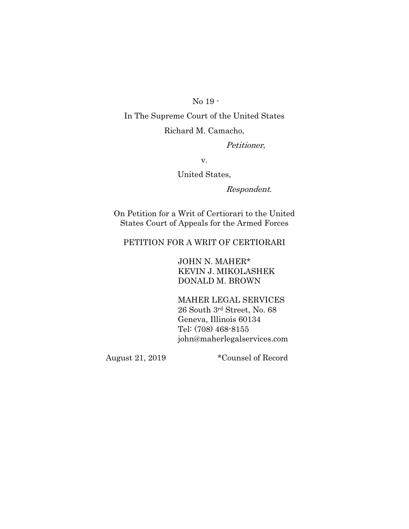No 19 -

In The Supreme Court of the United States Richard M. Camacho,

Petitioner,

v.

United States,

Respondent.

On Petition for a Writ of Certiorari to the United States Court of Appeals for the Armed Forces

## PETITION FOR A WRIT OF CERTIORARI

JOHN N. MAHER\* KEVIN J. MIKOLASHEK DONALD M. BROWN

MAHER LEGAL SERVICES 26 South 3rd Street, No. 68 Geneva, Illinois 60134 Tel: (708) 468-8155 [john@maherlegalservices.com](mailto:john@maherlegalservices.com)

August 21, 2019 \*Counsel of Record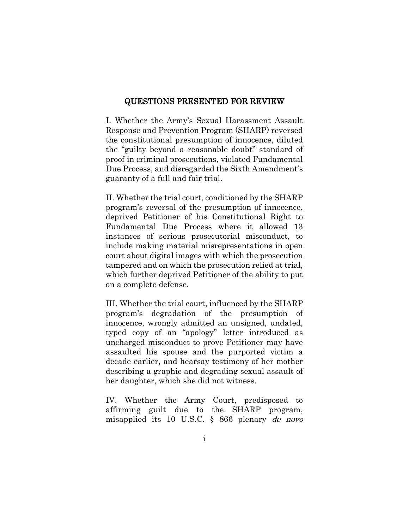### QUESTIONS PRESENTED FOR REVIEW

I. Whether the Army's Sexual Harassment Assault Response and Prevention Program (SHARP) reversed the constitutional presumption of innocence, diluted the "guilty beyond a reasonable doubt" standard of proof in criminal prosecutions, violated Fundamental Due Process, and disregarded the Sixth Amendment's guaranty of a full and fair trial.

II. Whether the trial court, conditioned by the SHARP program's reversal of the presumption of innocence, deprived Petitioner of his Constitutional Right to Fundamental Due Process where it allowed 13 instances of serious prosecutorial misconduct, to include making material misrepresentations in open court about digital images with which the prosecution tampered and on which the prosecution relied at trial, which further deprived Petitioner of the ability to put on a complete defense.

III. Whether the trial court, influenced by the SHARP program's degradation of the presumption of innocence, wrongly admitted an unsigned, undated, typed copy of an "apology" letter introduced as uncharged misconduct to prove Petitioner may have assaulted his spouse and the purported victim a decade earlier, and hearsay testimony of her mother describing a graphic and degrading sexual assault of her daughter, which she did not witness.

IV. Whether the Army Court, predisposed to affirming guilt due to the SHARP program, misapplied its 10 U.S.C. § 866 plenary de novo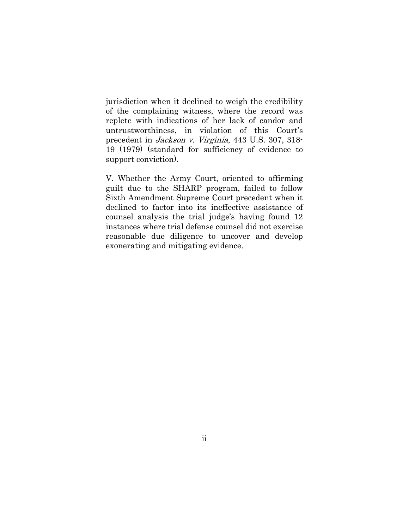jurisdiction when it declined to weigh the credibility of the complaining witness, where the record was replete with indications of her lack of candor and untrustworthiness, in violation of this Court's precedent in Jackson v. Virginia, 443 U.S. 307, 318- 19 (1979) (standard for sufficiency of evidence to support conviction).

V. Whether the Army Court, oriented to affirming guilt due to the SHARP program, failed to follow Sixth Amendment Supreme Court precedent when it declined to factor into its ineffective assistance of counsel analysis the trial judge's having found 12 instances where trial defense counsel did not exercise reasonable due diligence to uncover and develop exonerating and mitigating evidence.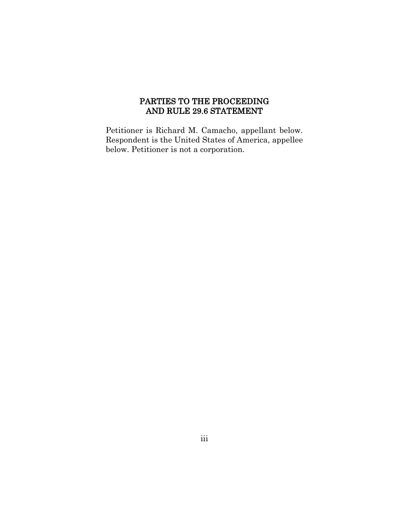## PARTIES TO THE PROCEEDING AND RULE 29.6 STATEMENT

Petitioner is Richard M. Camacho, appellant below. Respondent is the United States of America, appellee below. Petitioner is not a corporation.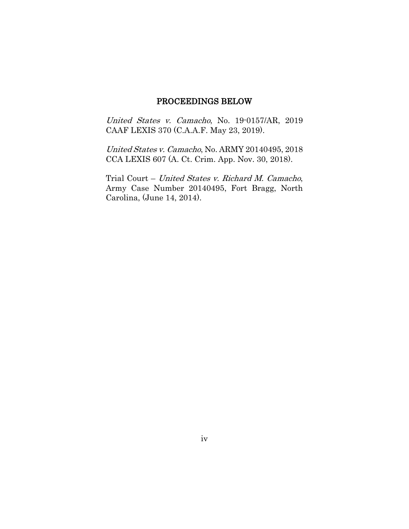## PROCEEDINGS BELOW

United States v. Camacho, No. 19-0157/AR, 2019 CAAF LEXIS 370 (C.A.A.F. May 23, 2019).

United States v. Camacho, No. ARMY 20140495, 2018 CCA LEXIS 607 (A. Ct. Crim. App. Nov. 30, 2018).

Trial Court – United States v. Richard M. Camacho, Army Case Number 20140495, Fort Bragg, North Carolina, (June 14, 2014).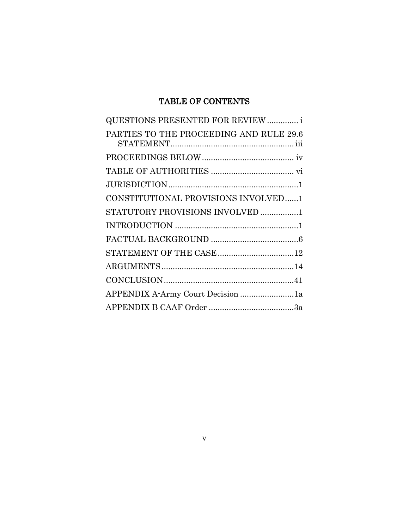# TABLE OF CONTENTS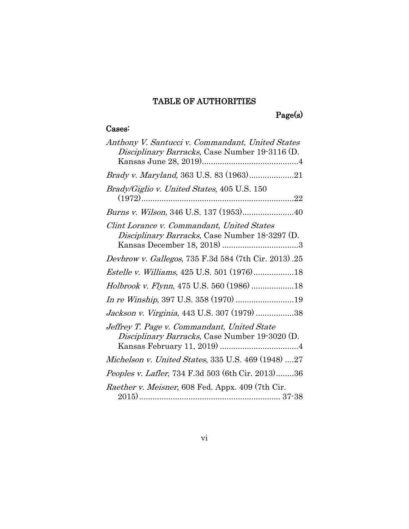# TABLE OF AUTHORITIES

Page(s)

## Cases:

| Anthony V. Santucci v. Commandant, United States<br>Disciplinary Barracks, Case Number 19-3116 (D. |
|----------------------------------------------------------------------------------------------------|
|                                                                                                    |
| Brady/Giglio v. United States, 405 U.S. 150                                                        |
| Burns v. Wilson, 346 U.S. 137 (1953)40                                                             |
| Clint Lorance v. Commandant, United States<br>Disciplinary Barracks, Case Number 18-3297 (D.       |
| Devbrow v. Gallegos, 735 F.3d 584 (7th Cir. 2013).25                                               |
|                                                                                                    |
| Holbrook v. Flynn, 475 U.S. 560 (1986) 18                                                          |
| In re Winship, 397 U.S. 358 (1970) 19                                                              |
| Jackson v. Virginia, 443 U.S. 307 (1979) 38                                                        |
| Jeffrey T. Page v. Commandant, United State<br>Disciplinary Barracks, Case Number 19-3020 (D.      |
| Michelson v. United States, 335 U.S. 469 (1948) 27                                                 |
| Peoples v. Lafler, 734 F.3d 503 (6th Cir. 2013)36                                                  |
| <i>Raether v. Meisner</i> , 608 Fed. Appx. 409 (7th Cir.                                           |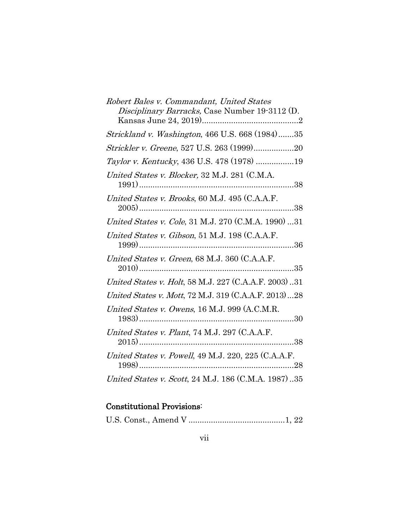| Robert Bales v. Commandant, United States<br>Disciplinary Barracks, Case Number 19-3112 (D. |
|---------------------------------------------------------------------------------------------|
| Strickland v. Washington, 466 U.S. 668 (1984)35                                             |
| Strickler v. Greene, 527 U.S. 263 (1999)20                                                  |
| Taylor v. Kentucky, 436 U.S. 478 (1978) 19                                                  |
| United States v. Blocker, 32 M.J. 281 (C.M.A.                                               |
| United States v. Brooks, 60 M.J. 495 (C.A.A.F.                                              |
| United States v. Cole, 31 M.J. 270 (C.M.A. 1990) 31                                         |
| United States v. Gibson, 51 M.J. 198 (C.A.A.F.                                              |
| United States v. Green, 68 M.J. 360 (C.A.A.F.<br>$\dots$ 35                                 |
| United States v. Holt, 58 M.J. 227 (C.A.A.F. 2003)31                                        |
| United States v. Mott, 72 M.J. 319 (C.A.A.F. 2013)28                                        |
| United States v. Owens, 16 M.J. 999 (A.C.M.R.                                               |
| United States v. Plant, 74 M.J. 297 (C.A.A.F.                                               |
| United States v. Powell, 49 M.J. 220, 225 (C.A.A.F.                                         |
| United States v. Scott, 24 M.J. 186 (C.M.A. 1987)35                                         |

# Constitutional Provisions:

U.S. Const., Amend V ...........................................1, 22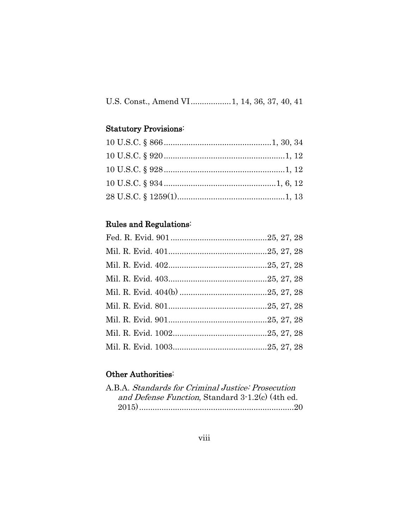# U.S. Const., Amend VI..................1, 14, 36, 37, 40, 41

## Statutory Provisions:

# Rules and Regulations:

## Other Authorities:

| A.B.A. Standards for Criminal Justice: Prosecution |  |
|----------------------------------------------------|--|
| and Defense Function, Standard 3-1.2(c) (4th ed.   |  |
|                                                    |  |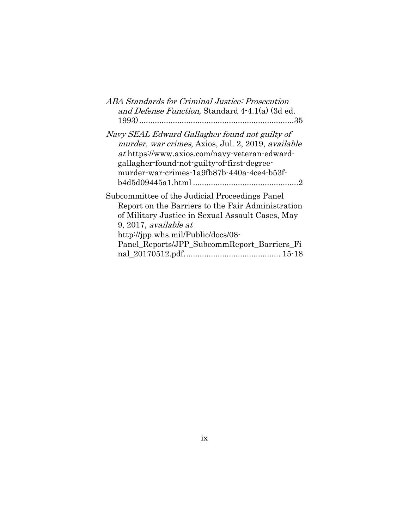| <i>ABA Standards for Criminal Justice: Prosecution</i>                                                                                                                                                                                                                |
|-----------------------------------------------------------------------------------------------------------------------------------------------------------------------------------------------------------------------------------------------------------------------|
| and Defense Function, Standard 4-4.1(a) (3d ed.                                                                                                                                                                                                                       |
|                                                                                                                                                                                                                                                                       |
| Navy SEAL Edward Gallagher found not guilty of<br>murder, war crimes, Axios, Jul. 2, 2019, available<br>at https://www.axios.com/navy-veteran-edward-<br>gallagher-found-not-guilty-of-first-degree-<br>murder-war-crimes-1a9fb87b-440a-4ce4-b53f-                    |
| Subcommittee of the Judicial Proceedings Panel<br>Report on the Barriers to the Fair Administration<br>of Military Justice in Sexual Assault Cases, May<br>9, 2017, available at<br>http://jpp.whs.mil/Public/docs/08-<br>Panel Reports/JPP SubcommReport Barriers Fi |
|                                                                                                                                                                                                                                                                       |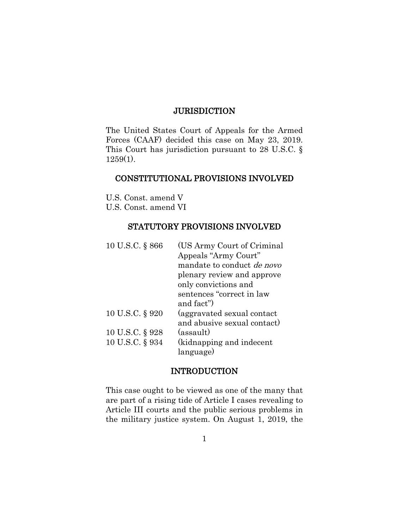## **JURISDICTION**

The United States Court of Appeals for the Armed Forces (CAAF) decided this case on May 23, 2019. This Court has jurisdiction pursuant to 28 U.S.C. § 1259(1).

### CONSTITUTIONAL PROVISIONS INVOLVED

U.S. Const. amend V U.S. Const. amend VI

### STATUTORY PROVISIONS INVOLVED

| 10 U.S.C. § 866 | (US Army Court of Criminal)       |
|-----------------|-----------------------------------|
|                 | Appeals "Army Court"              |
|                 | mandate to conduct <i>de novo</i> |
|                 | plenary review and approve        |
|                 | only convictions and              |
|                 | sentences "correct in law         |
|                 | and fact")                        |
| 10 U.S.C. § 920 | (aggravated sexual contact)       |
|                 | and abusive sexual contact)       |
| 10 U.S.C. § 928 | (assault)                         |
| 10 U.S.C. § 934 | (kidnapping and indecent          |
|                 | language)                         |

### INTRODUCTION

This case ought to be viewed as one of the many that are part of a rising tide of Article I cases revealing to Article III courts and the public serious problems in the military justice system. On August 1, 2019, the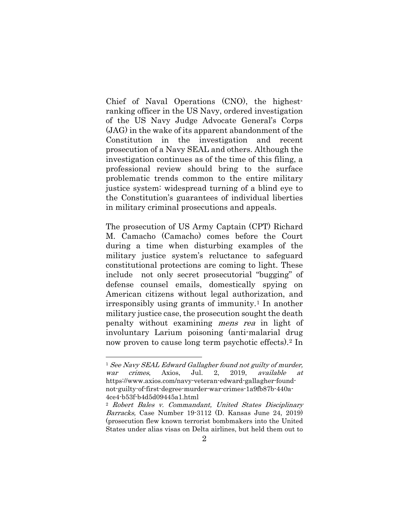Chief of Naval Operations (CNO), the highestranking officer in the US Navy, ordered investigation of the US Navy Judge Advocate General's Corps (JAG) in the wake of its apparent abandonment of the Constitution in the investigation and recent prosecution of a Navy SEAL and others. Although the investigation continues as of the time of this filing, a professional review should bring to the surface problematic trends common to the entire military justice system: widespread turning of a blind eye to the Constitution's guarantees of individual liberties in military criminal prosecutions and appeals.

The prosecution of US Army Captain (CPT) Richard M. Camacho (Camacho) comes before the Court during a time when disturbing examples of the military justice system's reluctance to safeguard constitutional protections are coming to light. These include not only secret prosecutorial "bugging" of defense counsel emails, domestically spying on American citizens without legal authorization, and irresponsibly using grants of immunity.[1](#page-11-0) In another military justice case, the prosecution sought the death penalty without examining mens rea in light of involuntary Larium poisoning (anti-malarial drug now proven to cause long term psychotic effects).[2](#page-11-1) In

<span id="page-11-0"></span><sup>&</sup>lt;sup>1</sup> See Navy SEAL Edward Gallagher found not guilty of murder, war crimes, Axios, Jul. 2, 2019, available at https://www.axios.com/navy-veteran-edward-gallagher-foundnot-guilty-of-first-degree-murder-war-crimes-1a9fb87b-440a-4ce4-b53f-b4d5d09445a1.html

<span id="page-11-1"></span><sup>2</sup> Robert Bales v. Commandant, United States Disciplinary Barracks, Case Number 19-3112 (D. Kansas June 24, 2019) (prosecution flew known terrorist bombmakers into the United States under alias visas on Delta airlines, but held them out to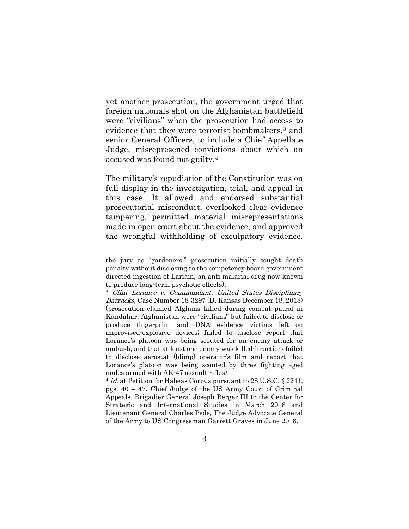yet another prosecution, the government urged that foreign nationals shot on the Afghanistan battlefield were "civilians" when the prosecution had access to evidence that they were terrorist bombmakers,<sup>[3](#page-12-0)</sup> and senior General Officers, to include a Chief Appellate Judge, misrepresened convictions about which an accused was found not guilty.[4](#page-12-1)

The military's repudiation of the Constitution was on full display in the investigation, trial, and appeal in this case. It allowed and endorsed substantial prosecutorial misconduct, overlooked clear evidence tampering, permitted material misrepresentations made in open court about the evidence, and approved the wrongful withholding of exculpatory evidence.

the jury as "gardeners;" prosecution initially sought death penalty without disclosing to the competency board government directed ingestion of Lariam, an anti-malarial drug now known to produce long-term psychotic effects).

<span id="page-12-0"></span><sup>3</sup> Clint Lorance v. Commandant, United States Disciplinary Barracks, Case Number 18-3297 (D. Kansas December 18, 2018) (prosecution claimed Afghans killed during combat patrol in Kandahar, Afghanistan were "civilians" but failed to disclose or produce fingerprint and DNA evidence victims left on improvised-explosive devices; failed to disclose report that Lorance's platoon was being scouted for an enemy attack or ambush, and that at least one enemy was killed-in-action; failed to disclose aerostat (blimp) operator's film and report that Lorance's platoon was being scouted by three fighting aged

<span id="page-12-1"></span>males armed with AK-47 assault rifles).<br><sup>4</sup> Id. at Petition for Habeas Corpus pursuant to 28 U.S.C. § 2241, pgs. 40 – 47. Chief Judge of the US Army Court of Criminal Appeals, Brigadier General Joseph Berger III to the Center for Strategic and International Studies in March 2018 and Lieutenant General Charles Pede, The Judge Advocate General of the Army to US Congressman Garrett Graves in June 2018.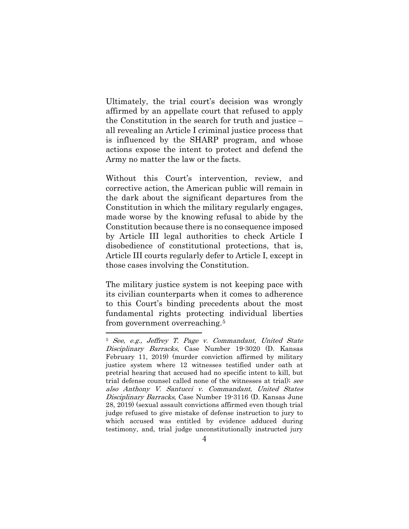Ultimately, the trial court's decision was wrongly affirmed by an appellate court that refused to apply the Constitution in the search for truth and justice – all revealing an Article I criminal justice process that is influenced by the SHARP program, and whose actions expose the intent to protect and defend the Army no matter the law or the facts.

Without this Court's intervention, review, and corrective action, the American public will remain in the dark about the significant departures from the Constitution in which the military regularly engages, made worse by the knowing refusal to abide by the Constitution because there is no consequence imposed by Article III legal authorities to check Article I disobedience of constitutional protections, that is, Article III courts regularly defer to Article I, except in those cases involving the Constitution.

The military justice system is not keeping pace with its civilian counterparts when it comes to adherence to this Court's binding precedents about the most fundamental rights protecting individual liberties from government overreaching.[5](#page-13-0)

<span id="page-13-0"></span><sup>5</sup> See, e.g., Jeffrey T. Page v. Commandant, United State Disciplinary Barracks, Case Number 19-3020 (D. Kansas February 11, 2019) (murder conviction affirmed by military justice system where 12 witnesses testified under oath at pretrial hearing that accused had no specific intent to kill, but trial defense counsel called none of the witnesses at trial); see also Anthony V. Santucci v. Commandant, United States Disciplinary Barracks, Case Number 19-3116 (D. Kansas June 28, 2019) (sexual assault convictions affirmed even though trial judge refused to give mistake of defense instruction to jury to which accused was entitled by evidence adduced during testimony, and, trial judge unconstitutionally instructed jury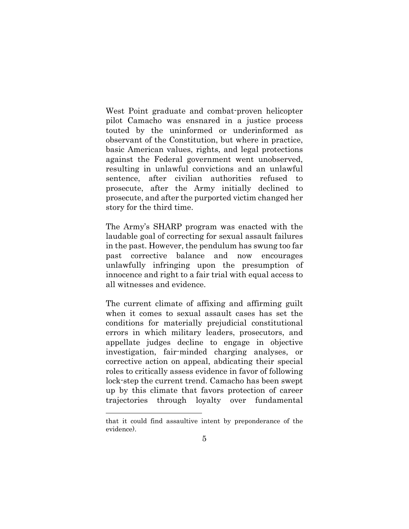West Point graduate and combat-proven helicopter pilot Camacho was ensnared in a justice process touted by the uninformed or underinformed as observant of the Constitution, but where in practice, basic American values, rights, and legal protections against the Federal government went unobserved, resulting in unlawful convictions and an unlawful sentence, after civilian authorities refused to prosecute, after the Army initially declined to prosecute, and after the purported victim changed her story for the third time.

The Army's SHARP program was enacted with the laudable goal of correcting for sexual assault failures in the past. However, the pendulum has swung too far past corrective balance and now encourages unlawfully infringing upon the presumption of innocence and right to a fair trial with equal access to all witnesses and evidence.

The current climate of affixing and affirming guilt when it comes to sexual assault cases has set the conditions for materially prejudicial constitutional errors in which military leaders, prosecutors, and appellate judges decline to engage in objective investigation, fair-minded charging analyses, or corrective action on appeal, abdicating their special roles to critically assess evidence in favor of following lock-step the current trend. Camacho has been swept up by this climate that favors protection of career trajectories through loyalty over fundamental

that it could find assaultive intent by preponderance of the evidence).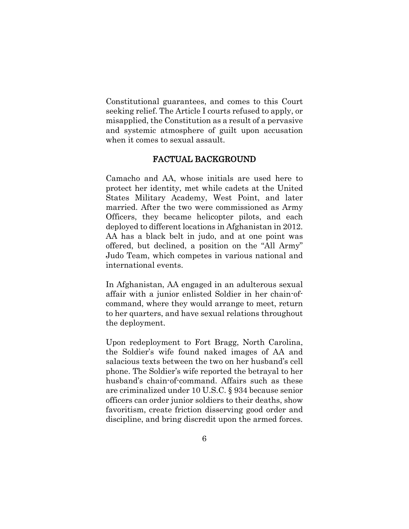Constitutional guarantees, and comes to this Court seeking relief. The Article I courts refused to apply, or misapplied, the Constitution as a result of a pervasive and systemic atmosphere of guilt upon accusation when it comes to sexual assault.

### FACTUAL BACKGROUND

Camacho and AA, whose initials are used here to protect her identity, met while cadets at the United States Military Academy, West Point, and later married. After the two were commissioned as Army Officers, they became helicopter pilots, and each deployed to different locations in Afghanistan in 2012. AA has a black belt in judo, and at one point was offered, but declined, a position on the "All Army" Judo Team, which competes in various national and international events.

In Afghanistan, AA engaged in an adulterous sexual affair with a junior enlisted Soldier in her chain-ofcommand, where they would arrange to meet, return to her quarters, and have sexual relations throughout the deployment.

Upon redeployment to Fort Bragg, North Carolina, the Soldier's wife found naked images of AA and salacious texts between the two on her husband's cell phone. The Soldier's wife reported the betrayal to her husband's chain-of-command. Affairs such as these are criminalized under 10 U.S.C. § 934 because senior officers can order junior soldiers to their deaths, show favoritism, create friction disserving good order and discipline, and bring discredit upon the armed forces.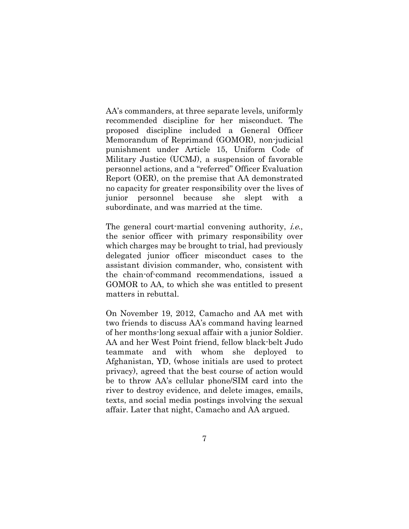AA's commanders, at three separate levels, uniformly recommended discipline for her misconduct. The proposed discipline included a General Officer Memorandum of Reprimand (GOMOR), non-judicial punishment under Article 15, Uniform Code of Military Justice (UCMJ), a suspension of favorable personnel actions, and a "referred" Officer Evaluation Report (OER), on the premise that AA demonstrated no capacity for greater responsibility over the lives of junior personnel because she slept with a subordinate, and was married at the time.

The general court-martial convening authority, *i.e.*, the senior officer with primary responsibility over which charges may be brought to trial, had previously delegated junior officer misconduct cases to the assistant division commander, who, consistent with the chain-of-command recommendations, issued a GOMOR to AA, to which she was entitled to present matters in rebuttal.

On November 19, 2012, Camacho and AA met with two friends to discuss AA's command having learned of her months-long sexual affair with a junior Soldier. AA and her West Point friend, fellow black-belt Judo teammate and with whom she deployed to Afghanistan, YD, (whose initials are used to protect privacy), agreed that the best course of action would be to throw AA's cellular phone/SIM card into the river to destroy evidence, and delete images, emails, texts, and social media postings involving the sexual affair. Later that night, Camacho and AA argued.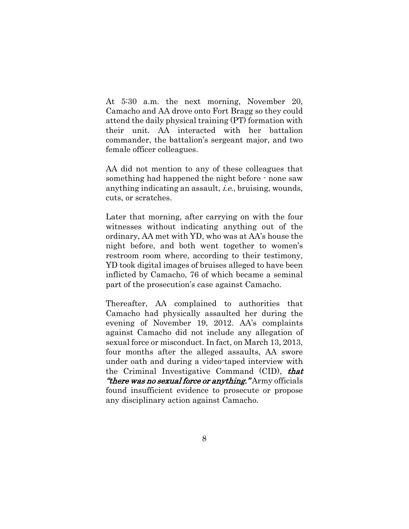At 5:30 a.m. the next morning, November 20, Camacho and AA drove onto Fort Bragg so they could attend the daily physical training (PT) formation with their unit. AA interacted with her battalion commander, the battalion's sergeant major, and two female officer colleagues.

AA did not mention to any of these colleagues that something had happened the night before - none saw anything indicating an assault, i.e., bruising, wounds, cuts, or scratches.

Later that morning, after carrying on with the four witnesses without indicating anything out of the ordinary, AA met with YD, who was at AA's house the night before, and both went together to women's restroom room where, according to their testimony, YD took digital images of bruises alleged to have been inflicted by Camacho, 76 of which became a seminal part of the prosecution's case against Camacho.

Thereafter, AA complained to authorities that Camacho had physically assaulted her during the evening of November 19, 2012. AA's complaints against Camacho did not include any allegation of sexual force or misconduct. In fact, on March 13, 2013, four months after the alleged assaults, AA swore under oath and during a video-taped interview with the Criminal Investigative Command (CID), that *"there was no sexual force or anything."* Army officials found insufficient evidence to prosecute or propose any disciplinary action against Camacho.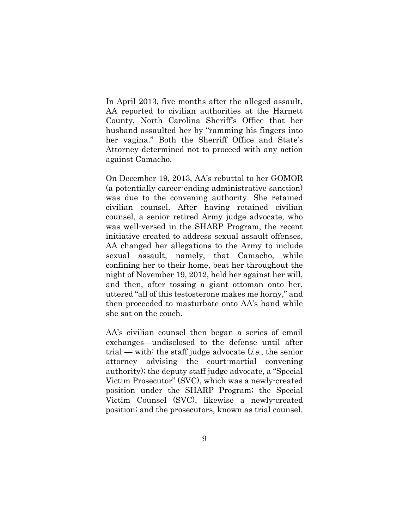In April 2013, five months after the alleged assault, AA reported to civilian authorities at the Harnett County, North Carolina Sheriff's Office that her husband assaulted her by "ramming his fingers into her vagina." Both the Sherriff Office and State's Attorney determined not to proceed with any action against Camacho.

On December 19, 2013, AA's rebuttal to her GOMOR (a potentially career-ending administrative sanction) was due to the convening authority. She retained civilian counsel. After having retained civilian counsel, a senior retired Army judge advocate, who was well-versed in the SHARP Program, the recent initiative created to address sexual assault offenses, AA changed her allegations to the Army to include sexual assault, namely, that Camacho, while confining her to their home, beat her throughout the night of November 19, 2012, held her against her will, and then, after tossing a giant ottoman onto her, uttered "all of this testosterone makes me horny," and then proceeded to masturbate onto AA's hand while she sat on the couch.

AA's civilian counsel then began a series of email exchanges—undisclosed to the defense until after trial — with: the staff judge advocate  $(i.e.,$  the senior attorney advising the court-martial convening authority); the deputy staff judge advocate, a "Special Victim Prosecutor" (SVC), which was a newly-created position under the SHARP Program; the Special Victim Counsel (SVC), likewise a newly-created position; and the prosecutors, known as trial counsel.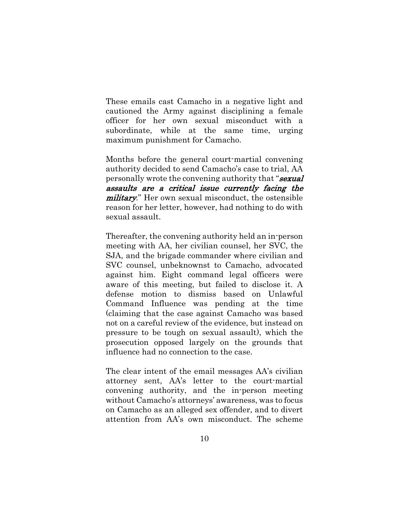These [emails](https://www.dropbox.com/s/7xh0bt8lldfz4l4/2%20B%20Concerns%20Reprimanding.pdf?dl=0) cast Camacho in a negative light and cautioned the Army against disciplining a female officer for her own sexual misconduct with a subordinate, while at the same time, urging maximum punishment for Camacho.

Months before the general court-martial convening authority decided to send Camacho's case to trial, AA personally wrote the convening authority that "**sexual**" assaults are a critical issue currently facing the military." Her own sexual misconduct, the ostensible reason for her letter, however, had nothing to do with sexual assault.

Thereafter, the convening authority held an in-person meeting with AA, her civilian counsel, her SVC, the SJA, and the brigade commander where civilian and SVC counsel, unbeknownst to Camacho, advocated against him. Eight command legal officers were aware of this meeting, but failed to disclose it. A defense motion to dismiss based on Unlawful Command Influence was pending at the time (claiming that the case against Camacho was based not on a careful review of the evidence, but instead on pressure to be tough on sexual assault), which the prosecution opposed largely on the grounds that influence had no connection to the case.

The clear intent of the email messages AA's civilian attorney sent, AA's letter to the court-martial convening authority, and the in-person meeting without Camacho's attorneys' awareness, was to focus on Camacho as an alleged sex offender, and to divert attention from AA's own misconduct. The scheme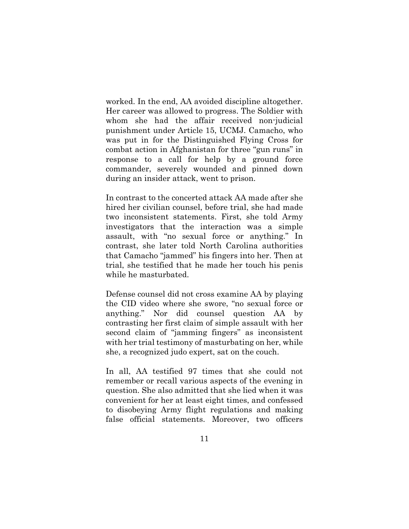worked. In the end, AA avoided discipline altogether. Her career was allowed to progress. The Soldier with whom she had the affair received non-judicial punishment under Article 15, UCMJ. Camacho, who was put in for the Distinguished Flying Cross for combat action in Afghanistan for three "gun runs" in response to a call for help by a ground force commander, severely wounded and pinned down during an insider attack, went to prison.

In contrast to the concerted attack AA made after she hired her civilian counsel, before trial, she had made two inconsistent statements. First, she told Army investigators that the interaction was a simple assault, with "no sexual force or anything." In contrast, she later told North Carolina authorities that Camacho "jammed" his fingers into her. Then at trial, she testified that he made her touch his penis while he masturbated.

Defense counsel did not cross examine AA by playing the CID video where she swore, "no sexual force or anything." Nor did counsel question AA by contrasting her first claim of simple assault with her second claim of "jamming fingers" as inconsistent with her trial testimony of masturbating on her, while she, a recognized judo expert, sat on the couch.

In all, AA testified 97 times that she could not remember or recall various aspects of the evening in question. She also admitted that she lied when it was convenient for her at least eight times, and confessed to disobeying Army flight regulations and making false official statements. Moreover, two officers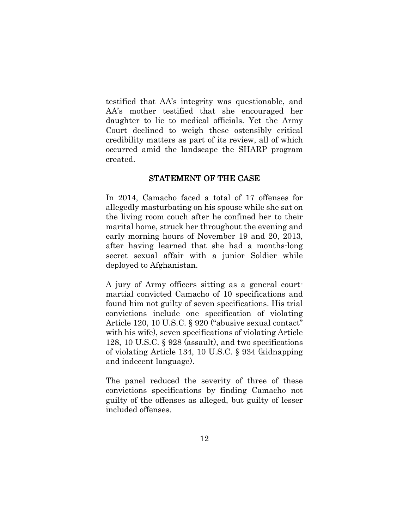testified that AA's integrity was questionable, and AA's mother testified that she encouraged her daughter to lie to medical officials. Yet the Army Court declined to weigh these ostensibly critical credibility matters as part of its review, all of which occurred amid the landscape the SHARP program created.

#### STATEMENT OF THE CASE

In 2014, Camacho faced a total of 17 offenses for allegedly masturbating on his spouse while she sat on the living room couch after he confined her to their marital home, struck her throughout the evening and early morning hours of November 19 and 20, 2013, after having learned that she had a months-long secret sexual affair with a junior Soldier while deployed to Afghanistan.

A jury of Army officers sitting as a general courtmartial convicted Camacho of 10 specifications and found him not guilty of seven specifications. His trial convictions include one specification of violating Article 120, 10 U.S.C. § 920 ("abusive sexual contact" with his wife), seven specifications of violating Article 128, 10 U.S.C. § 928 (assault), and two specifications of violating Article 134, 10 U.S.C. § 934 (kidnapping and indecent language).

The panel reduced the severity of three of these convictions specifications by finding Camacho not guilty of the offenses as alleged, but guilty of lesser included offenses.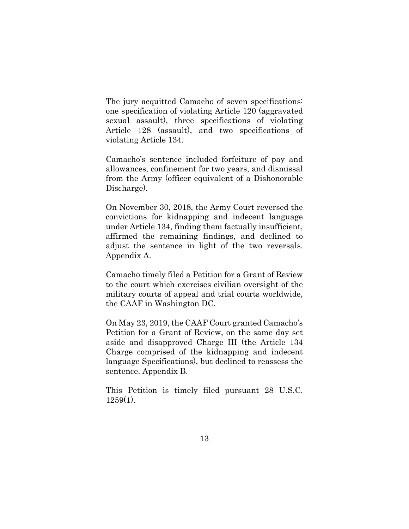The jury acquitted Camacho of seven specifications: one specification of violating Article 120 (aggravated sexual assault), three specifications of violating Article 128 (assault), and two specifications of violating Article 134.

Camacho's sentence included forfeiture of pay and allowances, confinement for two years, and dismissal from the Army (officer equivalent of a Dishonorable Discharge).

On November 30, 2018, the Army Court reversed the convictions for kidnapping and indecent language under Article 134, finding them factually insufficient, affirmed the remaining findings, and declined to adjust the sentence in light of the two reversals. Appendix A.

Camacho timely filed a Petition for a Grant of Review to the court which exercises civilian oversight of the military courts of appeal and trial courts worldwide, the CAAF in Washington DC.

On May 23, 2019, the CAAF Court granted Camacho's Petition for a Grant of Review, on the same day set aside and disapproved Charge III (the Article 134 Charge comprised of the kidnapping and indecent language Specifications), but declined to reassess the sentence. Appendix B.

This Petition is timely filed pursuant 28 U.S.C. 1259(1).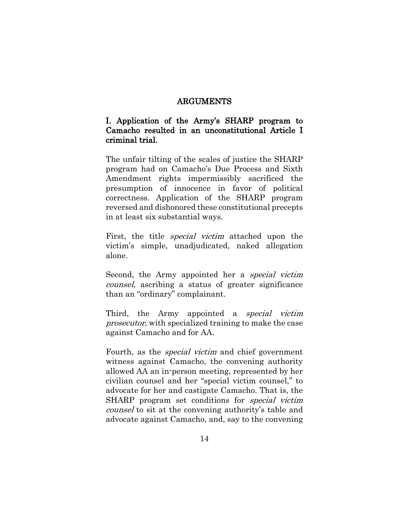#### ARGUMENTS

## I. Application of the Army's SHARP program to Camacho resulted in an unconstitutional Article I criminal trial.

The unfair tilting of the scales of justice the SHARP program had on Camacho's Due Process and Sixth Amendment rights impermissibly sacrificed the presumption of innocence in favor of political correctness. Application of the SHARP program reversed and dishonored these constitutional precepts in at least six substantial ways.

First, the title special victim attached upon the victim's simple, unadjudicated, naked allegation alone.

Second, the Army appointed her a *special victim* counsel, ascribing a status of greater significance than an "ordinary" complainant.

Third, the Army appointed a *special victim* prosecutor, with specialized training to make the case against Camacho and for AA.

Fourth, as the special victim and chief government witness against Camacho, the convening authority allowed AA an in-person meeting, represented by her civilian counsel and her "special victim counsel," to advocate for her and castigate Camacho. That is, the SHARP program set conditions for special victim counsel to sit at the convening authority's table and advocate against Camacho, and, say to the convening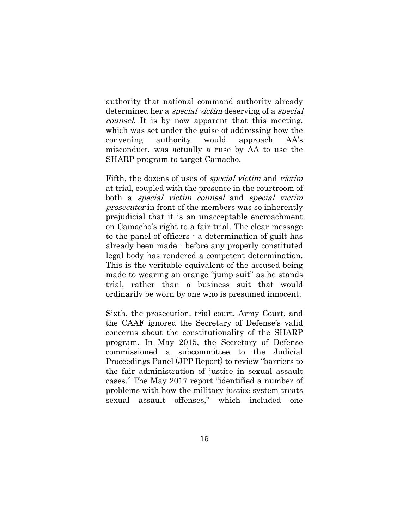authority that national command authority already determined her a special victim deserving of a special counsel. It is by now apparent that this meeting, which was set under the guise of addressing how the convening authority would approach AA's misconduct, was actually a ruse by AA to use the SHARP program to target Camacho.

Fifth, the dozens of uses of special victim and victim at trial, coupled with the presence in the courtroom of both a special victim counsel and special victim prosecutor in front of the members was so inherently prejudicial that it is an unacceptable encroachment on Camacho's right to a fair trial. The clear message to the panel of officers - a determination of guilt has already been made - before any properly constituted legal body has rendered a competent determination. This is the veritable equivalent of the accused being made to wearing an orange "jump-suit" as he stands trial, rather than a business suit that would ordinarily be worn by one who is presumed innocent.

Sixth, the prosecution, trial court, Army Court, and the CAAF ignored the Secretary of Defense's valid concerns about the constitutionality of the SHARP program. In May 2015, the Secretary of Defense commissioned a subcommittee to the Judicial Proceedings Panel (JPP Report) to review "barriers to the fair administration of justice in sexual assault cases." The May 2017 report "identified a number of problems with how the military justice system treats sexual assault offenses," which included one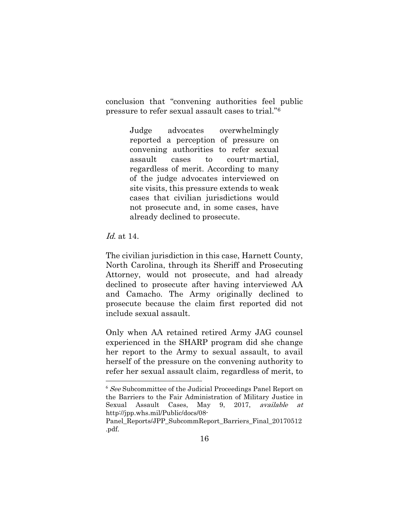conclusion that "convening authorities feel public pressure to refer sexual assault cases to trial."[6](#page-25-0)

> Judge advocates overwhelmingly reported a perception of pressure on convening authorities to refer sexual assault cases to court-martial, regardless of merit. According to many of the judge advocates interviewed on site visits, this pressure extends to weak cases that civilian jurisdictions would not prosecute and, in some cases, have already declined to prosecute.

### Id. at 14.

The civilian jurisdiction in this case, Harnett County, North Carolina, through its Sheriff and Prosecuting Attorney, would not prosecute, and had already declined to prosecute after having interviewed AA and Camacho. The Army originally declined to prosecute because the claim first reported did not include sexual assault.

Only when AA retained retired Army JAG counsel experienced in the SHARP program did she change her report to the Army to sexual assault, to avail herself of the pressure on the convening authority to refer her sexual assault claim, regardless of merit, to

<span id="page-25-0"></span><sup>&</sup>lt;sup>6</sup> See Subcommittee of the Judicial Proceedings Panel Report on the Barriers to the Fair Administration of Military Justice in Sexual Assault Cases, May 9, 2017, available at http://jpp.whs.mil/Public/docs/08-

Panel\_Reports/JPP\_SubcommReport\_Barriers\_Final\_20170512 .pdf.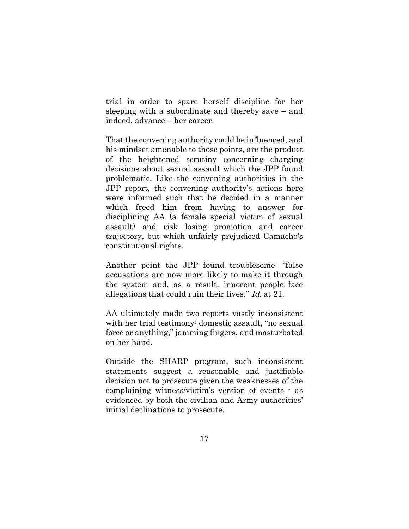trial in order to spare herself discipline for her sleeping with a subordinate and thereby save – and indeed, advance – her career.

That the convening authority could be influenced, and his mindset amenable to those points, are the product of the heightened scrutiny concerning charging decisions about sexual assault which the JPP found problematic. Like the convening authorities in the JPP report, the convening authority's actions here were informed such that he decided in a manner which freed him from having to answer for disciplining AA (a female special victim of sexual assault) and risk losing promotion and career trajectory, but which unfairly prejudiced Camacho's constitutional rights.

Another point the JPP found troublesome: "false accusations are now more likely to make it through the system and, as a result, innocent people face allegations that could ruin their lives." Id. at 21.

AA ultimately made two reports vastly inconsistent with her trial testimony: domestic assault, "no sexual force or anything," jamming fingers, and masturbated on her hand.

Outside the SHARP program, such inconsistent statements suggest a reasonable and justifiable decision not to prosecute given the weaknesses of the complaining witness/victim's version of events - as evidenced by both the civilian and Army authorities' initial declinations to prosecute.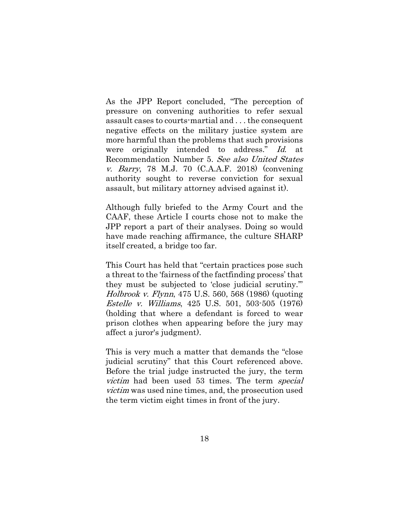As the JPP Report concluded, "The perception of pressure on convening authorities to refer sexual assault cases to courts-martial and . . . the consequent negative effects on the military justice system are more harmful than the problems that such provisions were originally intended to address." Id. at Recommendation Number 5. See also United States v. Barry, 78 M.J. 70 (C.A.A.F. 2018) (convening authority sought to reverse conviction for sexual assault, but military attorney advised against it).

Although fully briefed to the Army Court and the CAAF, these Article I courts chose not to make the JPP report a part of their analyses. Doing so would have made reaching affirmance, the culture SHARP itself created, a bridge too far.

This Court has held that "certain practices pose such a threat to the 'fairness of the factfinding process' that they must be subjected to 'close judicial scrutiny.'" Holbrook v. Flynn, 475 U.S. 560, 568 (1986) (quoting Estelle v. Williams, 425 U.S. 501, 503-505 (1976) (holding that where a defendant is forced to wear prison clothes when appearing before the jury may affect a juror's judgment).

This is very much a matter that demands the "close judicial scrutiny" that this Court referenced above. Before the trial judge instructed the jury, the term victim had been used 53 times. The term special victim was used nine times, [and, the prosecution used](https://www.dropbox.com/s/3cqobzpu71oi5q5/Assumed%20guilty-r01%20%5Bvictim%5D.pptx?dl=0)  [the term victim eight times in front of the jury.](https://www.dropbox.com/s/3cqobzpu71oi5q5/Assumed%20guilty-r01%20%5Bvictim%5D.pptx?dl=0)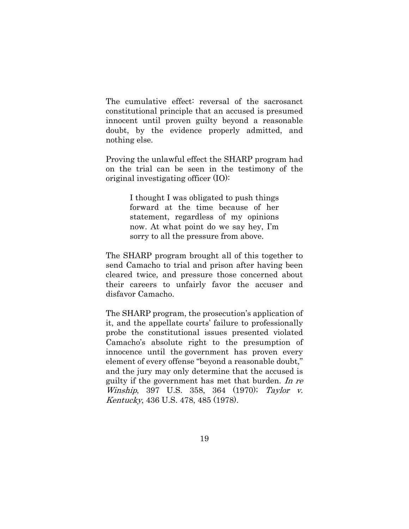The cumulative effect: reversal of the sacrosanct constitutional principle that an accused is presumed innocent until proven guilty beyond a reasonable doubt, by the evidence properly admitted, and nothing else.

Proving the unlawful effect the SHARP program had on the trial can be seen in the testimony of the original investigating officer (IO):

> I thought I was obligated to push things forward at the time because of her statement, regardless of my opinions now. At what point do we say hey, I'm sorry to all the pressure from above.

The SHARP program brought all of this together to send Camacho to trial and prison after having been cleared twice, and pressure those concerned about their careers to unfairly favor the accuser and disfavor Camacho.

The SHARP program, the prosecution's application of it, and the appellate courts' failure to professionally probe the constitutional issues presented violated Camacho's absolute right to the presumption of innocence until the government has proven every element of every offense "beyond a reasonable doubt," and the jury may only determine that the accused is guilty if the government has met that burden. In re Winship, 397 U.S. 358, 364 (1970); Taylor v. Kentucky, [436 U.S. 478, 485](http://caselaw.findlaw.com/us-supreme-court/436/478.html#485) (1978).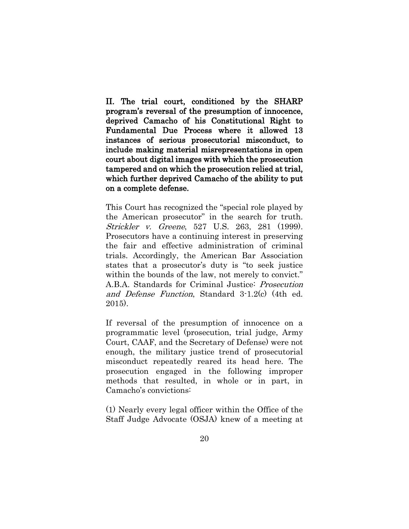II. The trial court, conditioned by the SHARP program's reversal of the presumption of innocence, deprived Camacho of his Constitutional Right to Fundamental Due Process where it allowed 13 instances of serious prosecutorial misconduct, to include making material misrepresentations in open court about digital images with which the prosecution tampered and on which the prosecution relied at trial, which further deprived Camacho of the ability to put on a complete defense.

This Court has recognized the "special role played by the American prosecutor" in the search for truth. Strickler v. Greene, 527 U.S. 263, 281 (1999). Prosecutors have a continuing interest in preserving the fair and effective administration of criminal trials. Accordingly, the American Bar Association states that a prosecutor's duty is "to seek justice within the bounds of the law, not merely to convict." A.B.A. Standards for Criminal Justice: Prosecution and Defense Function, Standard 3-1.2(c) (4th ed. 2015).

If reversal of the presumption of innocence on a programmatic level (prosecution, trial judge, Army Court, CAAF, and the Secretary of Defense) were not enough, the military justice trend of prosecutorial misconduct repeatedly reared its head here. The prosecution engaged in the following improper methods that resulted, in whole or in part, in Camacho's convictions:

(1) Nearly every legal officer within the Office of the Staff Judge Advocate (OSJA) knew of a meeting at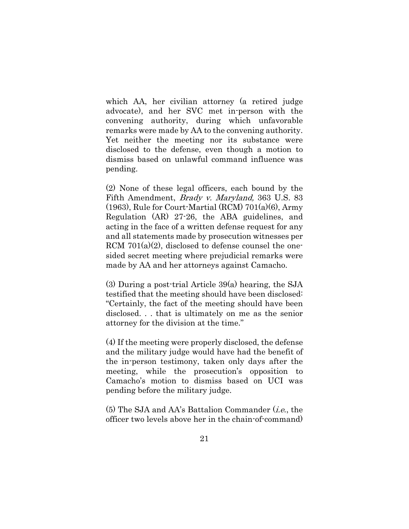which AA, her civilian attorney (a retired judge advocate), and her SVC met in-person with the convening authority, during which unfavorable remarks were made by AA to the convening authority. Yet neither the meeting nor its substance were disclosed to the defense, even though a motion to dismiss based on unlawful command influence was pending.

(2) None of these legal officers, each bound by the Fifth Amendment, Brady v. Maryland, 363 U.S. 83  $(1963)$ , Rule for Court-Martial (RCM)  $701(a)(6)$ , Army Regulation (AR) 27-26, the ABA guidelines, and acting in the face of a written defense request for any and all statements made by prosecution witnesses per RCM  $701(a)(2)$ , disclosed to defense counsel the onesided secret meeting where prejudicial remarks were made by AA and her attorneys against Camacho.

(3) During a post-trial Article 39(a) hearing, the SJA testified that the meeting should have been disclosed: "Certainly, the fact of the meeting should have been disclosed. . . that is ultimately on me as the senior attorney for the division at the time."

(4) If the meeting were properly disclosed, the defense and the military judge would have had the benefit of the in-person testimony, taken only days after the meeting, while the prosecution's opposition to Camacho's motion to dismiss based on UCI was pending before the military judge.

 $(5)$  The SJA and AA's Battalion Commander (*i.e.*, the officer two levels above her in the chain-of-command)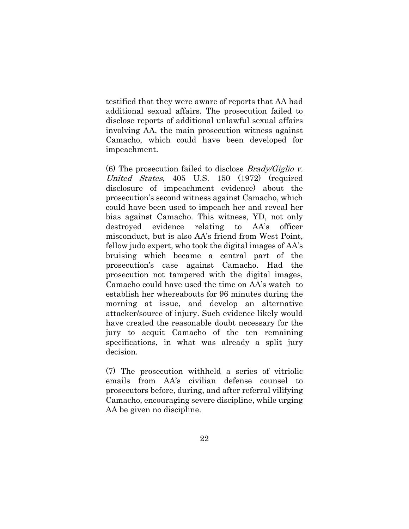testified that they were aware of reports that AA had additional sexual affairs. The prosecution failed to disclose reports of additional unlawful sexual affairs involving AA, the main prosecution witness against Camacho, which could have been developed for impeachment.

(6) The prosecution failed to disclose *Brady/Giglio v.* United States, 405 U.S. 150 (1972) (required disclosure of impeachment evidence) about the prosecution's second witness against Camacho, which could have been used to impeach her and reveal her bias against Camacho. This witness, YD, not only destroyed evidence relating to AA's officer misconduct, but is also AA's friend from West Point, fellow judo expert, who took the digital images of AA's bruising which became a central part of the prosecution's case against Camacho. Had the prosecution not tampered with the digital images, Camacho could have used the time on AA's watch to establish her whereabouts for 96 minutes during the morning at issue, and develop an alternative attacker/source of injury. Such evidence likely would have created the reasonable doubt necessary for the jury to acquit Camacho of the ten remaining specifications, in what was already a split jury decision.

(7) The prosecution withheld a series of vitriolic emails from AA's civilian defense counsel to prosecutors before, during, and after referral vilifying Camacho, encouraging severe discipline, while urging AA be given no discipline.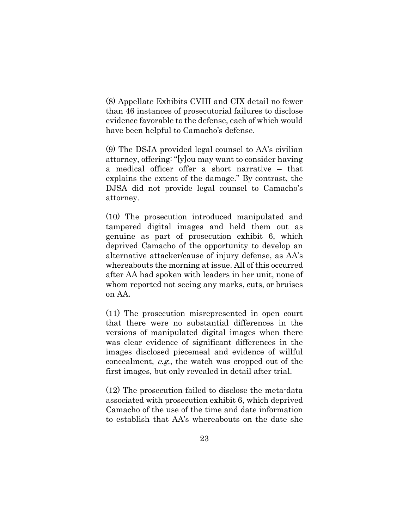(8) [Appellate Exhibits CVIII and CIX](https://www.dropbox.com/s/y6044v0efcski20/Discovery%20Disclosure%20Issues.pdf?dl=0) detail no fewer than 46 instances of prosecutorial failures to disclose evidence favorable to the defense, each of which would have been helpful to Camacho's defense.

(9) The DSJA provided legal counsel to AA's civilian attorney, offering: "[y]ou may want to consider having a medical officer offer a short narrative – that explains the extent of the damage." By contrast, the DJSA did not provide legal counsel to Camacho's attorney.

(10) The prosecution introduced manipulated and tampered digital images and held them out as genuine as part of prosecution exhibit 6, which deprived Camacho of the opportunity to develop an alternative attacker/cause of injury defense, as AA's whereabouts the morning at issue. All of this occurred after AA had spoken with leaders in her unit, none of whom reported not seeing any marks, cuts, or bruises on AA.

(11) The prosecution misrepresented in open court that there were no substantial differences in the versions of manipulated digital images when there was clear evidence of significant differences in the images disclosed piecemeal and evidence of willful concealment, e.g., the watch was cropped out of the first images, but only revealed in detail after trial.

(12) The prosecution failed to disclose the meta-data associated with prosecution exhibit 6, which deprived Camacho of the use of the time and date information to establish that AA's whereabouts on the date she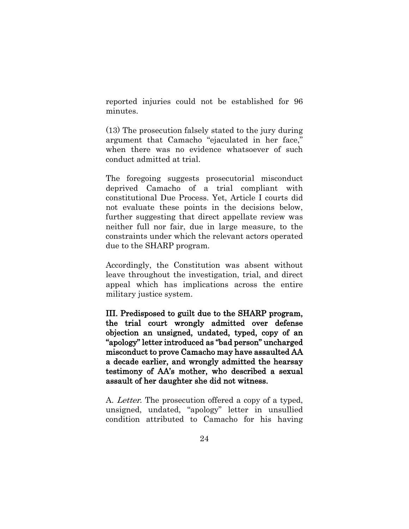reported injuries could not be established for 96 minutes.

(13) The prosecution falsely stated to the jury during argument that Camacho "ejaculated in her face," when there was no evidence whatsoever of such conduct admitted at trial.

The foregoing suggests prosecutorial misconduct deprived Camacho of a trial compliant with constitutional Due Process. Yet, Article I courts did not evaluate these points in the decisions below, further suggesting that direct appellate review was neither full nor fair, due in large measure, to the constraints under which the relevant actors operated due to the SHARP program.

Accordingly, the Constitution was absent without leave throughout the investigation, trial, and direct appeal which has implications across the entire military justice system.

III. Predisposed to guilt due to the SHARP program, the trial court wrongly admitted over defense objection an unsigned, undated, typed, copy of an "apology" letter introduced as "bad person" uncharged misconduct to prove Camacho may have assaulted AA a decade earlier, and wrongly admitted the hearsay testimony of AA's mother, who described a sexual assault of her daughter she did not witness.

A. Letter. The prosecution offered a copy of a typed, unsigned, undated, "apology" letter in unsullied condition attributed to Camacho for his having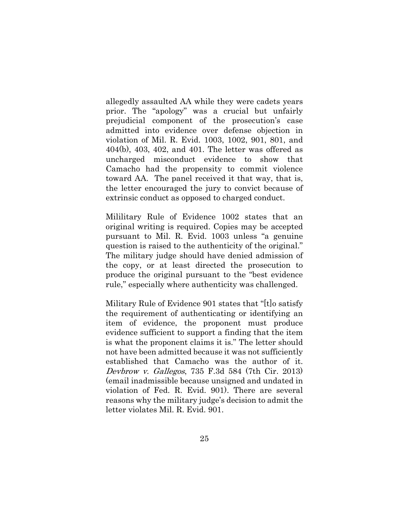allegedly assaulted AA while they were cadets years prior. The "apology" was a crucial but unfairly prejudicial component of the prosecution's case admitted into evidence over defense objection in violation of Mil. R. Evid. 1003, 1002, 901, 801, and 404(b), 403, 402, and 401. The letter was offered as uncharged misconduct evidence to show that Camacho had the propensity to commit violence toward AA. The panel received it that way, that is, the letter encouraged the jury to convict because of extrinsic conduct as opposed to charged conduct.

Mililitary Rule of Evidence 1002 states that an original writing is required. Copies may be accepted pursuant to Mil. R. Evid. 1003 unless "a genuine question is raised to the authenticity of the original." The military judge should have denied admission of the copy, or at least directed the prosecution to produce the original pursuant to the "best evidence rule," especially where authenticity was challenged.

Military Rule of Evidence 901 states that "[t]o satisfy the requirement of authenticating or identifying an item of evidence, the proponent must produce evidence sufficient to support a finding that the item is what the proponent claims it is." The letter should not have been admitted because it was not sufficiently established that Camacho was the author of it. Devbrow v. Gallegos, 735 F.3d 584 (7th Cir. 2013) (email inadmissible because unsigned and undated in violation of Fed. R. Evid. 901). There are several reasons why the military judge's decision to admit the letter violates Mil. R. Evid. 901.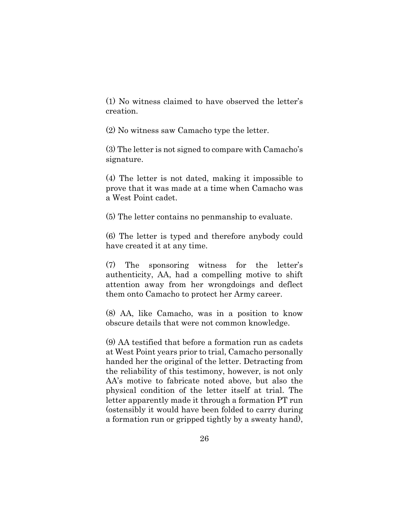(1) No witness claimed to have observed the letter's creation.

(2) No witness saw Camacho type the letter.

(3) The letter is not signed to compare with Camacho's signature.

(4) The letter is not dated, making it impossible to prove that it was made at a time when Camacho was a West Point cadet.

(5) The letter contains no penmanship to evaluate.

(6) The letter is typed and therefore anybody could have created it at any time.

(7) The sponsoring witness for the letter's authenticity, AA, had a compelling motive to shift attention away from her wrongdoings and deflect them onto Camacho to protect her Army career.

(8) AA, like Camacho, was in a position to know obscure details that were not common knowledge.

(9) AA testified that before a formation run as cadets at West Point years prior to trial, Camacho personally handed her the original of the letter. Detracting from the reliability of this testimony, however, is not only AA's motive to fabricate noted above, but also the physical condition of the letter itself at trial. The letter apparently made it through a formation PT run (ostensibly it would have been folded to carry during a formation run or gripped tightly by a sweaty hand),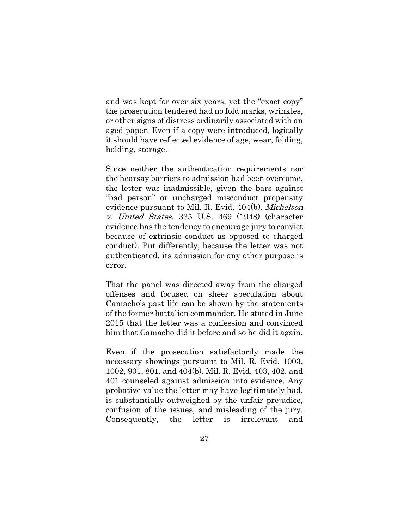and was kept for over six years, yet the "exact copy" the prosecution tendered had no fold marks, wrinkles, or other signs of distress ordinarily associated with an aged paper. Even if a copy were introduced, logically it should have reflected evidence of age, wear, folding, holding, storage.

Since neither the authentication requirements nor the hearsay barriers to admission had been overcome, the letter was inadmissible, given the bars against "bad person" or uncharged misconduct propensity evidence pursuant to Mil. R. Evid. 404(b). *Michelson* v. United States, 335 U.S. 469 (1948) (character evidence has the tendency to encourage jury to convict because of extrinsic conduct as opposed to charged conduct). Put differently, because the letter was not authenticated, its admission for any other purpose is error.

That the panel was directed away from the charged offenses and focused on sheer speculation about Camacho's past life can be shown by the statements of the former battalion commander. He stated in June 2015 that the letter was a confession and convinced him that Camacho did it before and so he did it again.

Even if the prosecution satisfactorily made the necessary showings pursuant to Mil. R. Evid. 1003, 1002, 901, 801, and 404(b), Mil. R. Evid. 403, 402, and 401 counseled against admission into evidence. Any probative value the letter may have legitimately had, is substantially outweighed by the unfair prejudice, confusion of the issues, and misleading of the jury. Consequently, the letter is irrelevant and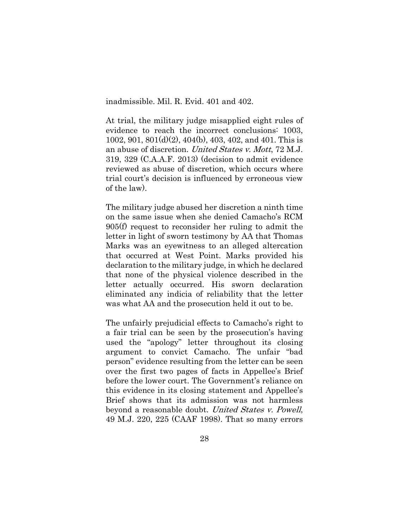inadmissible. Mil. R. Evid. 401 and 402.

At trial, the military judge misapplied eight rules of evidence to reach the incorrect conclusions: 1003, 1002, 901, 801(d)(2), 404(b), 403, 402, and 401. This is an abuse of discretion. United States v. Mott, 72 M.J. 319, 329 (C.A.A.F. 2013) (decision to admit evidence reviewed as abuse of discretion, which occurs where trial court's decision is influenced by erroneous view of the law).

The military judge abused her discretion a ninth time on the same issue when she denied Camacho's RCM 905(f) request to reconsider her ruling to admit the letter in light of sworn testimony by AA that Thomas Marks was an eyewitness to an alleged altercation that occurred at West Point. Marks provided his declaration to the military judge, in which he declared that none of the physical violence described in the letter actually occurred. His sworn declaration eliminated any indicia of reliability that the letter was what AA and the prosecution held it out to be.

The unfairly prejudicial effects to Camacho's right to a fair trial can be seen by the prosecution's having used the "apology" letter throughout its closing argument to convict Camacho. The unfair "bad person" evidence resulting from the letter can be seen over the first two pages of facts in Appellee's Brief before the lower court. The Government's reliance on this evidence in its closing statement and Appellee's Brief shows that its admission was not harmless beyond a reasonable doubt. United States v. Powell, 49 M.J. 220, 225 (CAAF 1998). That so many errors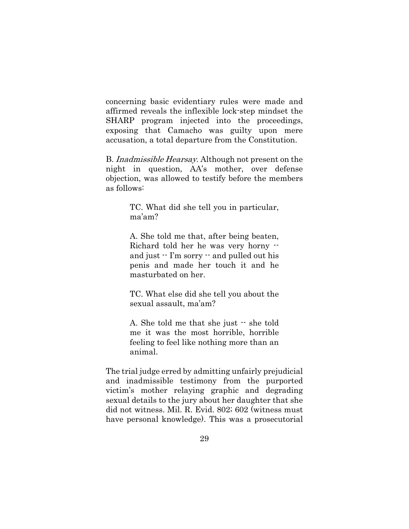concerning basic evidentiary rules were made and affirmed reveals the inflexible lock-step mindset the SHARP program injected into the proceedings, exposing that Camacho was guilty upon mere accusation, a total departure from the Constitution.

B. Inadmissible Hearsay. Although not present on the night in question, AA's mother, over defense objection, was allowed to testify before the members as follows:

> TC. What did she tell you in particular, ma'am?

> A. She told me that, after being beaten, Richard told her he was very horny - and just  $\cdot$  I'm sorry  $\cdot$  and pulled out his penis and made her touch it and he masturbated on her.

> TC. What else did she tell you about the sexual assault, ma'am?

> A. She told me that she just  $\cdot$  she told me it was the most horrible, horrible feeling to feel like nothing more than an animal.

The trial judge erred by admitting unfairly prejudicial and inadmissible testimony from the purported victim's mother relaying graphic and degrading sexual details to the jury about her daughter that she did not witness. Mil. R. Evid. 802; 602 (witness must have personal knowledge). This was a prosecutorial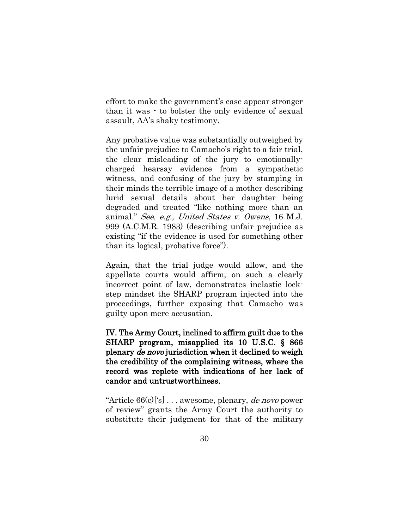effort to make the government's case appear stronger than it was - to bolster the only evidence of sexual assault, AA's shaky testimony.

Any probative value was substantially outweighed by the unfair prejudice to Camacho's right to a fair trial, the clear misleading of the jury to emotionallycharged hearsay evidence from a sympathetic witness, and confusing of the jury by stamping in their minds the terrible image of a mother describing lurid sexual details about her daughter being degraded and treated "like nothing more than an animal." See, e.g., United States v. Owens, 16 M.J. 999 (A.C.M.R. 1983) (describing unfair prejudice as existing "if the evidence is used for something other than its logical, probative force").

Again, that the trial judge would allow, and the appellate courts would affirm, on such a clearly incorrect point of law, demonstrates inelastic lockstep mindset the SHARP program injected into the proceedings, further exposing that Camacho was guilty upon mere accusation.

IV. The Army Court, inclined to affirm guilt due to the SHARP program, misapplied its 10 U.S.C. § 866 plenary de novo jurisdiction when it declined to weigh the credibility of the complaining witness, where the record was replete with indications of her lack of candor and untrustworthiness.

"Article  $66(c)$ ['s]... awesome, plenary, *de novo* power of review" grants the Army Court the authority to substitute their judgment for that of the military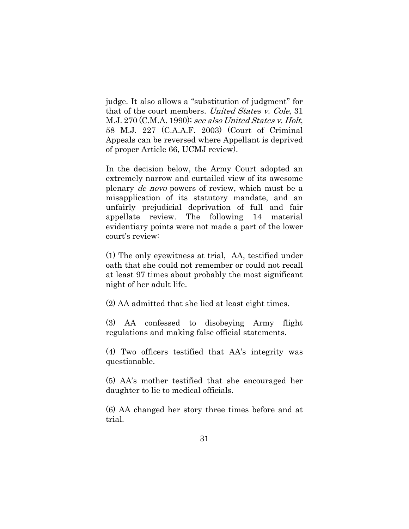judge. It also allows a "substitution of judgment" for that of the court members. United States v. Cole, 31 M.J. 270 (C.M.A. 1990); see also United States v. Holt, 58 M.J. 227 (C.A.A.F. 2003) (Court of Criminal Appeals can be reversed where Appellant is deprived of proper Article 66, UCMJ review).

In the decision below, the Army Court adopted an extremely narrow and curtailed view of its awesome plenary de novo powers of review, which must be a misapplication of its statutory mandate, and an unfairly prejudicial deprivation of full and fair appellate review. The following 14 material evidentiary points were not made a part of the lower court's review:

(1) The only eyewitness at trial, AA, testified under oath that [she could not remember or could not recall](https://www.dropbox.com/s/27xfpd90yb16x2r/Cannot%20Recall%20or%20Remember.pdf?dl=0)  [at least 97 times](https://www.dropbox.com/s/27xfpd90yb16x2r/Cannot%20Recall%20or%20Remember.pdf?dl=0) about probably the most significant night of her adult life.

(2) AA admitted that she lied at least eight times.

(3) AA confessed to disobeying Army flight regulations and making false official statements.

(4) Two officers testified that AA's integrity was questionable.

(5) AA's mother testified that she encouraged her daughter to lie to medical officials.

(6) AA changed her story three times before and at trial.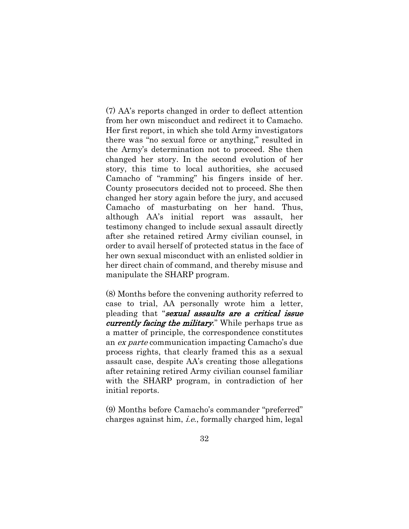(7) AA's reports changed in order to deflect attention from her own misconduct and redirect it to Camacho. Her first report, in which she told Army investigators there was "no sexual force or anything," resulted in the Army's determination not to proceed. She then changed her story. In the second evolution of her story, this time to local authorities, she accused Camacho of "ramming" his fingers inside of her. County prosecutors decided not to proceed. She then changed her story again before the jury, and accused Camacho of masturbating on her hand. Thus, although AA's initial report was assault, her testimony changed to include sexual assault directly after she retained retired Army civilian counsel, in order to avail herself of protected status in the face of her own sexual misconduct with an enlisted soldier in her direct chain of command, and thereby misuse and manipulate the SHARP program.

(8) Months before the convening authority referred to case to trial, AA personally wrote him a letter, pleading that "sexual assaults are a critical issue currently facing the military." While perhaps true as a matter of principle, the correspondence constitutes an ex parte communication impacting Camacho's due process rights, that clearly framed this as a sexual assault case, despite AA's creating those allegations after retaining retired Army civilian counsel familiar with the SHARP program, in contradiction of her initial reports.

(9) Months before Camacho's commander "preferred" charges against him, i.e., formally charged him, legal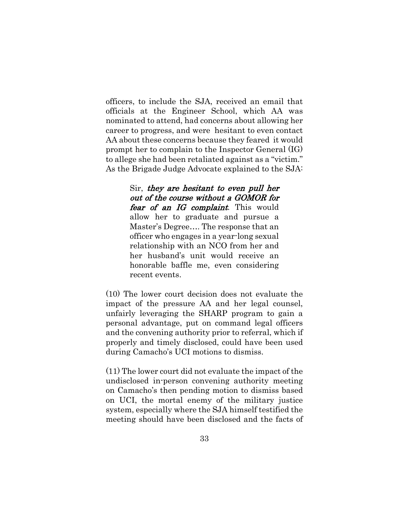officers, to include the SJA, received an email that officials at the Engineer School, which AA was nominated to attend, had concerns about allowing her career to progress, and were hesitant to even contact AA about these concerns because they feared it would prompt her to complain to the Inspector General (IG) to allege she had been retaliated against as a "victim." As the Brigade Judge Advocate explained to the SJA:

> Sir, they are hesitant to even pull her out of the course without a GOMOR for fear of an IG complaint. This would allow her to graduate and pursue a Master's Degree…. The response that an officer who engages in a year-long sexual relationship with an NCO from her and her husband's unit would receive an honorable baffle me, even considering recent events.

(10) The lower court decision does not evaluate the impact of the pressure AA and her legal counsel, unfairly leveraging the SHARP program to gain a personal advantage, put on command legal officers and the convening authority prior to referral, which if properly and timely disclosed, could have been used during Camacho's UCI motions to dismiss.

(11) The lower court did not evaluate the impact of the undisclosed in-person convening authority meeting on Camacho's then pending motion to dismiss based on UCI, the mortal enemy of the military justice system, especially where the SJA himself testified the meeting should have been disclosed and the facts of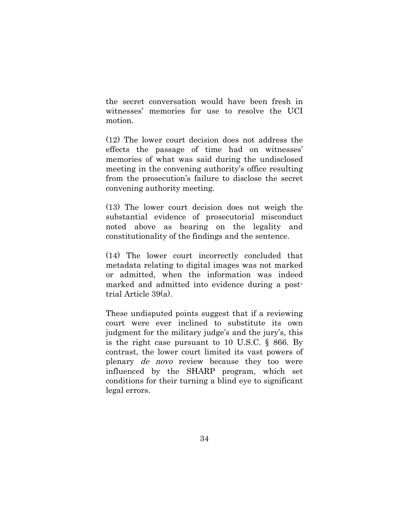the secret conversation would have been fresh in witnesses' memories for use to resolve the UCI motion.

(12) The lower court decision does not address the effects the passage of time had on witnesses' memories of what was said during the undisclosed meeting in the convening authority's office resulting from the prosecution's failure to disclose the secret convening authority meeting.

(13) The lower court decision does not weigh the substantial evidence of prosecutorial misconduct noted above as bearing on the legality and constitutionality of the findings and the sentence.

(14) The lower court incorrectly concluded that metadata relating to digital images was not marked or admitted, when the information was indeed marked and admitted into evidence during a posttrial Article 39(a).

These undisputed points suggest that if a reviewing court were ever inclined to substitute its own judgment for the military judge's and the jury's, this is the right case pursuant to 10 U.S.C. § 866. By contrast, the lower court limited its vast powers of plenary de novo review because they too were influenced by the SHARP program, which set conditions for their turning a blind eye to significant legal errors.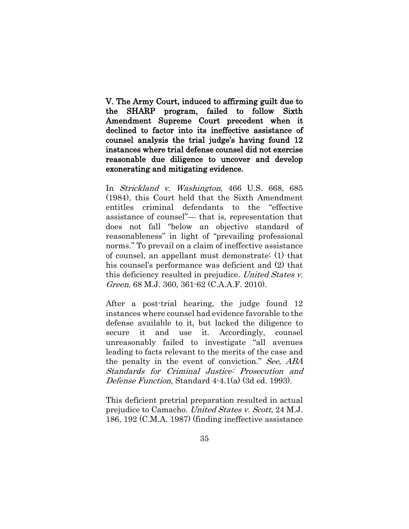V. The Army Court, induced to affirming guilt due to the SHARP program, failed to follow Sixth Amendment Supreme Court precedent when it declined to factor into its ineffective assistance of counsel analysis the trial judge's having found 12 instances where trial defense counsel did not exercise reasonable due diligence to uncover and develop exonerating and mitigating evidence.

In Strickland v. Washington, 466 U.S. 668, 685 (1984), this Court held that the Sixth Amendment entitles criminal defendants to the "effective assistance of counsel"— that is, representation that does not fall "below an objective standard of reasonableness" in light of "prevailing professional norms." To prevail on a claim of ineffective assistance of counsel, an appellant must demonstrate: (1) that his counsel's performance was deficient and (2) that this deficiency resulted in prejudice. United States v. Green, 68 M.J. 360, 361-62 (C.A.A.F. 2010).

After a post-trial hearing, the judge found 12 instances where counsel had evidence favorable to the defense available to it, but lacked the diligence to secure it and use it. Accordingly, counsel unreasonably failed to investigate "all avenues leading to facts relevant to the merits of the case and the penalty in the event of conviction." See, ABA Standards for Criminal Justice: Prosecution and Defense Function, Standard 4-4.1(a) (3d ed. 1993).

This deficient pretrial preparation resulted in actual prejudice to Camacho. [United States v. Scott](http://www.lexis.com/research/buttonTFLink?_m=87ad22f496f7fea4927565e2b2d5872b&_xfercite=%3ccite%20cc%3d%22USA%22%3e%3c%21%5bCDATA%5b2015%20CCA%20LEXIS%20218%5d%5d%3e%3c%2fcite%3e&_butType=3&_butStat=2&_butNum=31&_butInline=1&_butinfo=%3ccite%20cc%3d%22USA%22%3e%3c%21%5bCDATA%5b24%20M.J.%20186%2c%20192%5d%5d%3e%3c%2fcite%3e&_fmtstr=FULL&docnum=7&_startdoc=1&wchp=dGLzVzt-zSkAz&_md5=03f5935eae16199101bb405369496fb3), 24 M.J. [186, 192 \(C.M.A. 1987\)](http://www.lexis.com/research/buttonTFLink?_m=87ad22f496f7fea4927565e2b2d5872b&_xfercite=%3ccite%20cc%3d%22USA%22%3e%3c%21%5bCDATA%5b2015%20CCA%20LEXIS%20218%5d%5d%3e%3c%2fcite%3e&_butType=3&_butStat=2&_butNum=31&_butInline=1&_butinfo=%3ccite%20cc%3d%22USA%22%3e%3c%21%5bCDATA%5b24%20M.J.%20186%2c%20192%5d%5d%3e%3c%2fcite%3e&_fmtstr=FULL&docnum=7&_startdoc=1&wchp=dGLzVzt-zSkAz&_md5=03f5935eae16199101bb405369496fb3) (finding ineffective assistance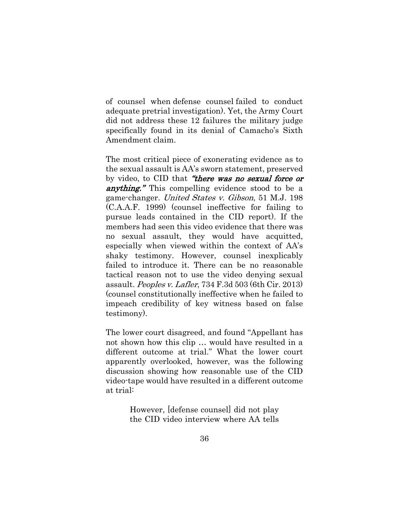of counsel when defense counsel failed to conduct adequate pretrial investigation). Yet, the Army Court did not address these 12 failures the military judge specifically found in its denial of Camacho's Sixth Amendment claim.

The most critical piece of exonerating evidence as to the sexual assault is AA's sworn statement, preserved by video, to CID that "there was no sexual force or **anything.**" This compelling evidence stood to be a game-changer. United States v. Gibson, 51 M.J. 198 (C.A.A.F. 1999) (counsel ineffective for failing to pursue leads contained in the CID report). If the members had seen this video evidence that there was no sexual assault, they would have acquitted, especially when viewed within the context of AA's shaky testimony. However, counsel inexplicably failed to introduce it. There can be no reasonable tactical reason not to use the video denying sexual assault. Peoples v. Lafler, 734 F.3d 503 (6th Cir. 2013) (counsel constitutionally ineffective when he failed to impeach credibility of key witness based on false testimony).

The lower court disagreed, and found "Appellant has not shown how this clip … would have resulted in a different outcome at trial." What the lower court apparently overlooked, however, was the following discussion showing how reasonable use of the CID video-tape would have resulted in a different outcome at trial:

> However, [defense counsel] did not play the CID video interview where AA tells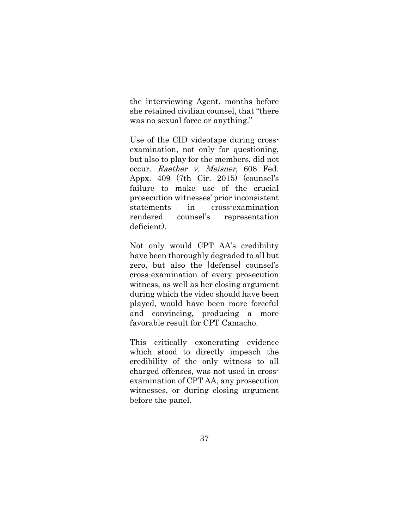the interviewing Agent, months before she retained civilian counsel, that "there was no sexual force or anything."

Use of the CID videotape during crossexamination, not only for questioning, but also to play for the members, did not occur. Raether v. Meisner, 608 Fed. Appx. 409 (7th Cir. 2015) (counsel's failure to make use of the crucial prosecution witnesses' prior inconsistent statements in cross-examination rendered counsel's representation deficient).

Not only would CPT AA's credibility have been thoroughly degraded to all but zero, but also the [defense] counsel's cross-examination of every prosecution witness, as well as her closing argument during which the video should have been played, would have been more forceful and convincing, producing a more favorable result for CPT Camacho.

This critically exonerating evidence which stood to directly impeach the credibility of the only witness to all charged offenses, was not used in crossexamination of CPT AA, any prosecution witnesses, or during closing argument before the panel.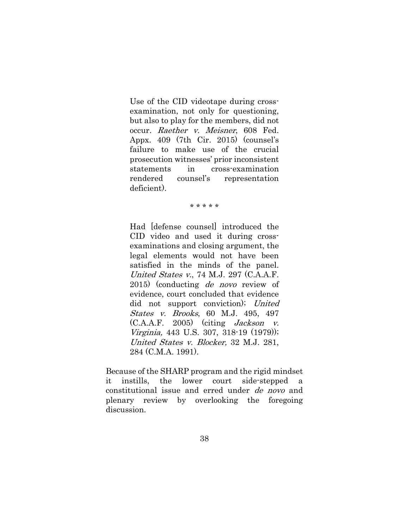Use of the CID videotape during crossexamination, not only for questioning, but also to play for the members, did not occur. Raether v. Meisner, 608 Fed. Appx. 409 (7th Cir. 2015) (counsel's failure to make use of the crucial prosecution witnesses' prior inconsistent statements in cross-examination rendered counsel's representation deficient).

\* \* \* \* \*

Had [defense counsel] introduced the CID video and used it during crossexaminations and closing argument, the legal elements would not have been satisfied in the minds of the panel. United States v., 74 M.J. 297 (C.A.A.F. 2015) (conducting de novo review of evidence, court concluded that evidence did not support conviction); United States v. Brooks, 60 M.J. 495, 497  $(C.A.A.F. 2005)$  (citing *Jackson v.*) Virginia, 443 U.S. 307, 318-19 (1979)); United States v. Blocker, 32 M.J. 281, 284 (C.M.A. 1991).

Because of the SHARP program and the rigid mindset it instills, the lower court side-stepped a constitutional issue and erred under de novo and plenary review by overlooking the foregoing discussion.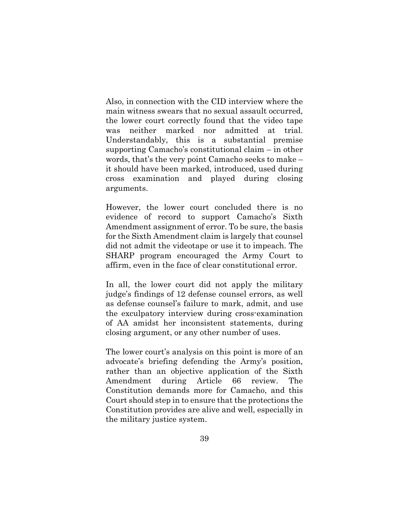Also, in connection with the CID interview where the main witness swears that no sexual assault occurred, the lower court correctly found that the video tape was neither marked nor admitted at trial. Understandably, this is a substantial premise supporting Camacho's constitutional claim – in other words, that's the very point Camacho seeks to make – it should have been marked, introduced, used during cross examination and played during closing arguments.

However, the lower court concluded there is no evidence of record to support Camacho's Sixth Amendment assignment of error. To be sure, the basis for the Sixth Amendment claim is largely that counsel did not admit the videotape or use it to impeach. The SHARP program encouraged the Army Court to affirm, even in the face of clear constitutional error.

In all, the lower court did not apply the military judge's findings of 12 defense counsel errors, as well as defense counsel's failure to mark, admit, and use the exculpatory interview during cross-examination of AA amidst her inconsistent statements, during closing argument, or any other number of uses.

The lower court's analysis on this point is more of an advocate's briefing defending the Army's position, rather than an objective application of the Sixth Amendment during Article 66 review. The Constitution demands more for Camacho, and this Court should step in to ensure that the protections the Constitution provides are alive and well, especially in the military justice system.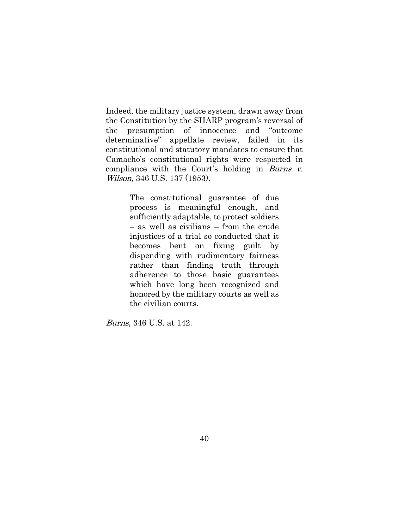Indeed, the military justice system, drawn away from the Constitution by the SHARP program's reversal of the presumption of innocence and "outcome determinative" appellate review, failed in its constitutional and statutory mandates to ensure that Camacho's constitutional rights were respected in compliance with the Court's holding in Burns  $v$ . Wilson, 346 U.S. 137 (1953).

> The constitutional guarantee of due process is meaningful enough, and sufficiently adaptable, to protect soldiers – as well as civilians – from the crude injustices of a trial so conducted that it becomes bent on fixing guilt by dispending with rudimentary fairness rather than finding truth through adherence to those basic guarantees which have long been recognized and honored by the military courts as well as the civilian courts.

Burns, 346 U.S. at 142.